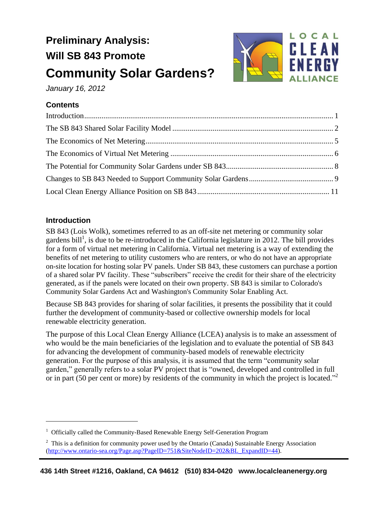# **Preliminary Analysis: Will SB 843 Promote Community Solar Gardens?**



*January 16, 2012*

# **Contents**

## <span id="page-0-0"></span>**Introduction**

 $\overline{a}$ 

SB 843 (Lois Wolk), sometimes referred to as an off-site net metering or community solar gardens bill<sup>1</sup>, is due to be re-introduced in the California legislature in 2012. The bill provides for a form of virtual net metering in California. Virtual net metering is a way of extending the benefits of net metering to utility customers who are renters, or who do not have an appropriate on-site location for hosting solar PV panels. Under SB 843, these customers can purchase a portion of a shared solar PV facility. These "subscribers" receive the credit for their share of the electricity generated, as if the panels were located on their own property. SB 843 is similar to Colorado's Community Solar Gardens Act and Washington's Community Solar Enabling Act.

Because SB 843 provides for sharing of solar facilities, it presents the possibility that it could further the development of community-based or collective ownership models for local renewable electricity generation.

The purpose of this Local Clean Energy Alliance (LCEA) analysis is to make an assessment of who would be the main beneficiaries of the legislation and to evaluate the potential of SB 843 for advancing the development of community-based models of renewable electricity generation. For the purpose of this analysis, it is assumed that the term "community solar garden," generally refers to a solar PV project that is "owned, developed and controlled in full or in part (50 per cent or more) by residents of the community in which the project is located."<sup>2</sup>

<sup>&</sup>lt;sup>1</sup> Officially called the Community-Based Renewable Energy Self-Generation Program

 $2\degree$  This is a definition for community power used by the Ontario (Canada) Sustainable Energy Association [\(http://www.ontario-sea.org/Page.asp?PageID=751&SiteNodeID=202&BL\\_ExpandID=44\)](http://www.ontario-sea.org/Page.asp?PageID=751&SiteNodeID=202&BL_ExpandID=44).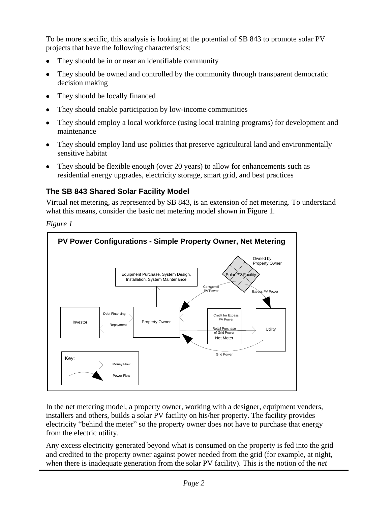To be more specific, this analysis is looking at the potential of SB 843 to promote solar PV projects that have the following characteristics:

- They should be in or near an identifiable community
- They should be owned and controlled by the community through transparent democratic decision making
- They should be locally financed
- They should enable participation by low-income communities
- They should employ a local workforce (using local training programs) for development and maintenance
- They should employ land use policies that preserve agricultural land and environmentally sensitive habitat
- They should be flexible enough (over 20 years) to allow for enhancements such as residential energy upgrades, electricity storage, smart grid, and best practices

# <span id="page-1-0"></span>**The SB 843 Shared Solar Facility Model**

Virtual net metering, as represented by SB 843, is an extension of net metering. To understand what this means, consider the basic net metering model shown in Figure 1.

*Figure 1*



In the net metering model, a property owner, working with a designer, equipment venders, installers and others, builds a solar PV facility on his/her property. The facility provides electricity "behind the meter" so the property owner does not have to purchase that energy from the electric utility.

Any excess electricity generated beyond what is consumed on the property is fed into the grid and credited to the property owner against power needed from the grid (for example, at night, when there is inadequate generation from the solar PV facility). This is the notion of the *net*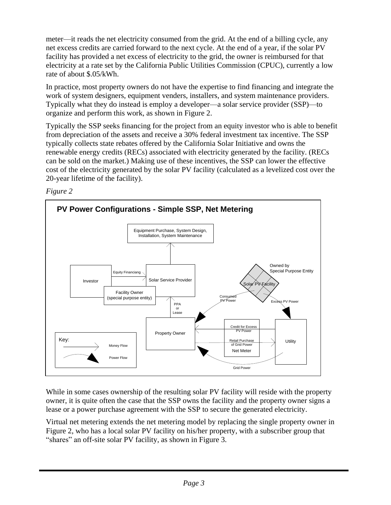meter—it reads the net electricity consumed from the grid. At the end of a billing cycle, any net excess credits are carried forward to the next cycle. At the end of a year, if the solar PV facility has provided a net excess of electricity to the grid, the owner is reimbursed for that electricity at a rate set by the California Public Utilities Commission (CPUC), currently a low rate of about \$.05/kWh.

In practice, most property owners do not have the expertise to find financing and integrate the work of system designers, equipment venders, installers, and system maintenance providers. Typically what they do instead is employ a developer—a solar service provider (SSP)—to organize and perform this work, as shown in Figure 2.

Typically the SSP seeks financing for the project from an equity investor who is able to benefit from depreciation of the assets and receive a 30% federal investment tax incentive. The SSP typically collects state rebates offered by the California Solar Initiative and owns the renewable energy credits (RECs) associated with electricity generated by the facility. (RECs can be sold on the market.) Making use of these incentives, the SSP can lower the effective cost of the electricity generated by the solar PV facility (calculated as a levelized cost over the 20-year lifetime of the facility).





While in some cases ownership of the resulting solar PV facility will reside with the property owner, it is quite often the case that the SSP owns the facility and the property owner signs a lease or a power purchase agreement with the SSP to secure the generated electricity.

Virtual net metering extends the net metering model by replacing the single property owner in Figure 2, who has a local solar PV facility on his/her property, with a subscriber group that "shares" an off-site solar PV facility, as shown in Figure 3.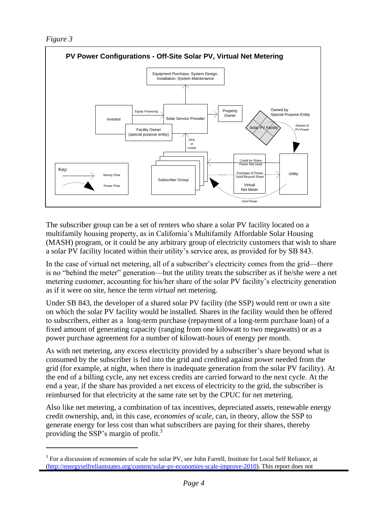*Figure 3*

 $\overline{a}$ 



The subscriber group can be a set of renters who share a solar PV facility located on a multifamily housing property, as in California's Multifamily Affordable Solar Housing (MASH) program, or it could be any arbitrary group of electricity customers that wish to share a solar PV facility located within their utility's service area, as provided for by SB 843.

In the case of virtual net metering, all of a subscriber's electricity comes from the grid—there is no "behind the meter" generation—but the utility treats the subscriber as if he/she were a net metering customer, accounting for his/her share of the solar PV facility's electricity generation as if it were on site, hence the term *virtual* net metering.

Under SB 843, the developer of a shared solar PV facility (the SSP) would rent or own a site on which the solar PV facility would be installed. Shares in the facility would then be offered to subscribers, either as a long-term purchase (repayment of a long-term purchase loan) of a fixed amount of generating capacity (ranging from one kilowatt to two megawatts) or as a power purchase agreement for a number of kilowatt-hours of energy per month.

As with net metering, any excess electricity provided by a subscriber's share beyond what is consumed by the subscriber is fed into the grid and credited against power needed from the grid (for example, at night, when there is inadequate generation from the solar PV facility). At the end of a billing cycle, any net excess credits are carried forward to the next cycle. At the end a year, if the share has provided a net excess of electricity to the grid, the subscriber is reimbursed for that electricity at the same rate set by the CPUC for net metering.

Also like net metering, a combination of tax incentives, depreciated assets, renewable energy credit ownership, and, in this case, *economies of scale*, can, in theory, allow the SSP to generate energy for less cost than what subscribers are paying for their shares, thereby providing the SSP's margin of profit.<sup>3</sup>

<sup>&</sup>lt;sup>3</sup> For a discussion of economies of scale for solar PV, see John Farrell, Institute for Local Self Reliance, at [\(http://energyselfreliantstates.org/content/solar-pv-economies-scale-improve-2010\)](http://energyselfreliantstates.org/content/solar-pv-economies-scale-improve-2010). This report does not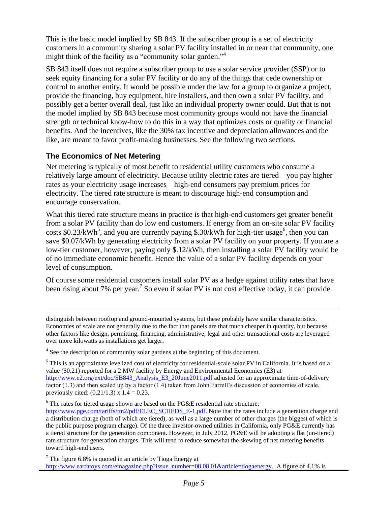This is the basic model implied by SB 843. If the subscriber group is a set of electricity customers in a community sharing a solar PV facility installed in or near that community, one might think of the facility as a "community solar garden."

SB 843 itself does not require a subscriber group to use a solar service provider (SSP) or to seek equity financing for a solar PV facility or do any of the things that cede ownership or control to another entity. It would be possible under the law for a group to organize a project, provide the financing, buy equipment, hire installers, and then own a solar PV facility, and possibly get a better overall deal, just like an individual property owner could. But that is not the model implied by SB 843 because most community groups would not have the financial strength or technical know-how to do this in a way that optimizes costs or quality or financial benefits. And the incentives, like the 30% tax incentive and depreciation allowances and the like, are meant to favor profit-making businesses. See the following two sections.

#### <span id="page-4-0"></span>**The Economics of Net Metering**

 $\overline{a}$ 

Net metering is typically of most benefit to residential utility customers who consume a relatively large amount of electricity. Because utility electric rates are tiered—you pay higher rates as your electricity usage increases—high-end consumers pay premium prices for electricity. The tiered rate structure is meant to discourage high-end consumption and encourage conservation.

What this tiered rate structure means in practice is that high-end customers get greater benefit from a solar PV facility than do low end customers. If energy from an on-site solar PV facility costs \$0.23/kWh<sup>5</sup>, and you are currently paying \$.30/kWh for high-tier usage<sup>6</sup>, then you can save \$0.07/kWh by generating electricity from a solar PV facility on your property. If you are a low-tier customer, however, paying only \$.12/kWh, then installing a solar PV facility would be of no immediate economic benefit. Hence the value of a solar PV facility depends on your level of consumption.

Of course some residential customers install solar PV as a hedge against utility rates that have been rising about 7% per year.<sup>7</sup> So even if solar PV is not cost effective today, it can provide

 $6$  The rates for tiered usage shown are based on the PG&E residential rate structure:

distinguish between rooftop and ground-mounted systems, but these probably have similar characteristics. Economies of scale are not generally due to the fact that panels are that much cheaper in quantity, but because other factors like design, permitting, financing, administrative, legal and other transactional costs are leveraged over more kilowatts as installations get larger.

<sup>&</sup>lt;sup>4</sup> See the description of community solar gardens at the beginning of this document.

<sup>&</sup>lt;sup>5</sup> This is an approximate levelized cost of electricity for residential-scale solar PV in California. It is based on a value (\$0.21) reported for a 2 MW facility by Energy and Environmental Economics (E3) at [http://www.e2.org/ext/doc/SB843\\_Analysis\\_E3\\_20June2011.pdf](http://www.e2.org/ext/doc/SB843_Analysis_E3_20June2011.pdf) adjusted for an approximate time-of-delivery factor (1.3) and then scaled up by a factor (1.4) taken from John Farrell's discussion of economies of scale, previously cited:  $(0.21/1.3) \times 1.4 = 0.23$ .

[http://www.pge.com/tariffs/tm2/pdf/ELEC\\_SCHEDS\\_E-1.pdf.](http://www.pge.com/tariffs/tm2/pdf/ELEC_SCHEDS_E-1.pdf) Note that the rates include a generation charge and a distribution charge (both of which are tiered), as well as a large number of other charges (the biggest of which is the public purpose program charge). Of the three investor-owned utilities in California, only PG&E currently has a tiered structure for the generation component. However, in July 2012, PG&E will be adopting a flat (un-tiered) rate structure for generation charges. This will tend to reduce somewhat the skewing of net metering benefits toward high-end users.

 $7$  The figure 6.8% is quoted in an article by Tioga Energy at [http://www.earthtoys.com/emagazine.php?issue\\_number=08.08.01&article=tiogaenergy.](http://www.earthtoys.com/emagazine.php?issue_number=08.08.01&article=tiogaenergy) A figure of 4.1% is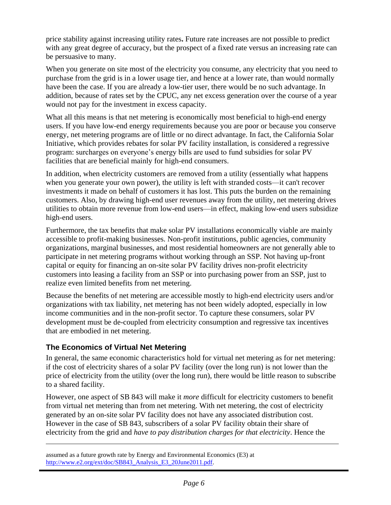price stability against increasing utility rates**.** Future rate increases are not possible to predict with any great degree of accuracy, but the prospect of a fixed rate versus an increasing rate can be persuasive to many.

When you generate on site most of the electricity you consume, any electricity that you need to purchase from the grid is in a lower usage tier, and hence at a lower rate, than would normally have been the case. If you are already a low-tier user, there would be no such advantage. In addition, because of rates set by the CPUC, any net excess generation over the course of a year would not pay for the investment in excess capacity.

What all this means is that net metering is economically most beneficial to high-end energy users. If you have low-end energy requirements because you are poor or because you conserve energy, net metering programs are of little or no direct advantage. In fact, the California Solar Initiative, which provides rebates for solar PV facility installation, is considered a regressive program: surcharges on everyone's energy bills are used to fund subsidies for solar PV facilities that are beneficial mainly for high-end consumers.

In addition, when electricity customers are removed from a utility (essentially what happens when you generate your own power), the utility is left with stranded costs—it can't recover investments it made on behalf of customers it has lost. This puts the burden on the remaining customers. Also, by drawing high-end user revenues away from the utility, net metering drives utilities to obtain more revenue from low-end users—in effect, making low-end users subsidize high-end users.

Furthermore, the tax benefits that make solar PV installations economically viable are mainly accessible to profit-making businesses. Non-profit institutions, public agencies, community organizations, marginal businesses, and most residential homeowners are not generally able to participate in net metering programs without working through an SSP. Not having up-front capital or equity for financing an on-site solar PV facility drives non-profit electricity customers into leasing a facility from an SSP or into purchasing power from an SSP, just to realize even limited benefits from net metering.

Because the benefits of net metering are accessible mostly to high-end electricity users and/or organizations with tax liability, net metering has not been widely adopted, especially in low income communities and in the non-profit sector. To capture these consumers, solar PV development must be de-coupled from electricity consumption and regressive tax incentives that are embodied in net metering.

#### <span id="page-5-0"></span>**The Economics of Virtual Net Metering**

 $\overline{a}$ 

In general, the same economic characteristics hold for virtual net metering as for net metering: if the cost of electricity shares of a solar PV facility (over the long run) is not lower than the price of electricity from the utility (over the long run), there would be little reason to subscribe to a shared facility.

However, one aspect of SB 843 will make it *more* difficult for electricity customers to benefit from virtual net metering than from net metering. With net metering, the cost of electricity generated by an on-site solar PV facility does not have any associated distribution cost. However in the case of SB 843, subscribers of a solar PV facility obtain their share of electricity from the grid and *have to pay distribution charges for that electricity*. Hence the

assumed as a future growth rate by Energy and Environmental Economics (E3) at [http://www.e2.org/ext/doc/SB843\\_Analysis\\_E3\\_20June2011.pdf.](http://www.e2.org/ext/doc/SB843_Analysis_E3_20June2011.pdf)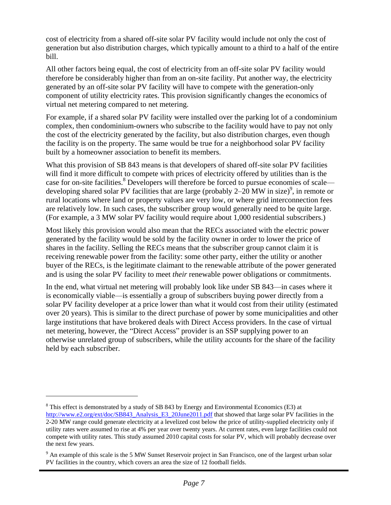cost of electricity from a shared off-site solar PV facility would include not only the cost of generation but also distribution charges, which typically amount to a third to a half of the entire bill.

All other factors being equal, the cost of electricity from an off-site solar PV facility would therefore be considerably higher than from an on-site facility. Put another way, the electricity generated by an off-site solar PV facility will have to compete with the generation-only component of utility electricity rates. This provision significantly changes the economics of virtual net metering compared to net metering.

For example, if a shared solar PV facility were installed over the parking lot of a condominium complex, then condominium-owners who subscribe to the facility would have to pay not only the cost of the electricity generated by the facility, but also distribution charges, even though the facility is on the property. The same would be true for a neighborhood solar PV facility built by a homeowner association to benefit its members.

What this provision of SB 843 means is that developers of shared off-site solar PV facilities will find it more difficult to compete with prices of electricity offered by utilities than is the case for on-site facilities.<sup>8</sup> Developers will therefore be forced to pursue economies of scale developing shared solar PV facilities that are large (probably  $2-20$  MW in size)<sup>9</sup>, in remote or rural locations where land or property values are very low, or where grid interconnection fees are relatively low. In such cases, the subscriber group would generally need to be quite large. (For example, a 3 MW solar PV facility would require about 1,000 residential subscribers.)

Most likely this provision would also mean that the RECs associated with the electric power generated by the facility would be sold by the facility owner in order to lower the price of shares in the facility. Selling the RECs means that the subscriber group cannot claim it is receiving renewable power from the facility: some other party, either the utility or another buyer of the RECs, is the legitimate claimant to the renewable attribute of the power generated and is using the solar PV facility to meet *their* renewable power obligations or commitments.

In the end, what virtual net metering will probably look like under SB 843—in cases where it is economically viable—is essentially a group of subscribers buying power directly from a solar PV facility developer at a price lower than what it would cost from their utility (estimated over 20 years). This is similar to the direct purchase of power by some municipalities and other large institutions that have brokered deals with Direct Access providers. In the case of virtual net metering, however, the "Direct Access" provider is an SSP supplying power to an otherwise unrelated group of subscribers, while the utility accounts for the share of the facility held by each subscriber.

<span id="page-6-0"></span> $\overline{a}$ 

 $8$  This effect is demonstrated by a study of SB 843 by Energy and Environmental Economics (E3) at [http://www.e2.org/ext/doc/SB843\\_Analysis\\_E3\\_20June2011.pdf](http://www.e2.org/ext/doc/SB843_Analysis_E3_20June2011.pdf) that showed that large solar PV facilities in the 2-20 MW range could generate electricity at a levelized cost below the price of utility-supplied electricity only if utility rates were assumed to rise at 4% per year over twenty years. At current rates, even large facilities could not compete with utility rates. This study assumed 2010 capital costs for solar PV, which will probably decrease over the next few years.

<sup>&</sup>lt;sup>9</sup> An example of this scale is the 5 MW Sunset Reservoir project in San Francisco, one of the largest urban solar PV facilities in the country, which covers an area the size of 12 football fields.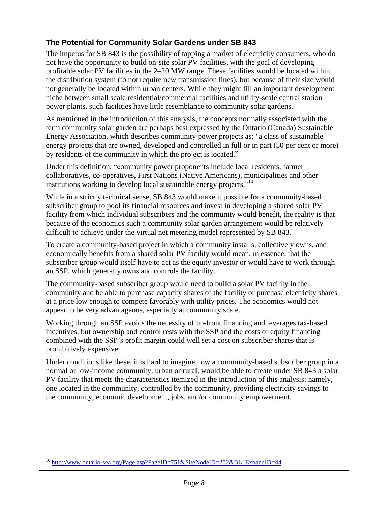### **The Potential for Community Solar Gardens under SB 843**

The impetus for SB 843 is the possibility of tapping a market of electricity consumers, who do not have the opportunity to build on-site solar PV facilities, with the goal of developing profitable solar PV facilities in the 2–20 MW range. These facilities would be located within the distribution system (to not require new transmission lines), but because of their size would not generally be located within urban centers. While they might fill an important development niche between small scale residential/commercial facilities and utility-scale central station power plants, such facilities have little resemblance to community solar gardens.

As mentioned in the introduction of this analysis, the concepts normally associated with the term community solar garden are perhaps best expressed by the Ontario (Canada) Sustainable Energy Association, which describes community power projects as: "a class of sustainable energy projects that are owned, developed and controlled in full or in part (50 per cent or more) by residents of the community in which the project is located."

Under this definition, "community power proponents include local residents, farmer collaboratives, co-operatives, First Nations (Native Americans), municipalities and other institutions working to develop local sustainable energy projects."<sup>10</sup>

While in a strictly technical sense, SB 843 would make it possible for a community-based subscriber group to pool its financial resources and invest in developing a shared solar PV facility from which individual subscribers and the community would benefit, the reality is that because of the economics such a community solar garden arrangement would be relatively difficult to achieve under the virtual net metering model represented by SB 843.

To create a community-based project in which a community installs, collectively owns, and economically benefits from a shared solar PV facility would mean, in essence, that the subscriber group would itself have to act as the equity investor or would have to work through an SSP, which generally owns and controls the facility.

The community-based subscriber group would need to build a solar PV facility in the community and be able to purchase capacity shares of the facility or purchase electricity shares at a price low enough to compete favorably with utility prices. The economics would not appear to be very advantageous, especially at community scale.

Working through an SSP avoids the necessity of up-front financing and leverages tax-based incentives, but ownership and control rests with the SSP and the costs of equity financing combined with the SSP's profit margin could well set a cost on subscriber shares that is prohibitively expensive.

Under conditions like these, it is hard to imagine how a community-based subscriber group in a normal or low-income community, urban or rural, would be able to create under SB 843 a solar PV facility that meets the characteristics itemized in the introduction of this analysis: namely, one located in the community, controlled by the community, providing electricity savings to the community, economic development, jobs, and/or community empowerment.

 $\overline{a}$ 

<sup>&</sup>lt;sup>10</sup> [http://www.ontario-sea.org/Page.asp?PageID=751&SiteNodeID=202&BL\\_ExpandID=44](http://www.ontario-sea.org/Page.asp?PageID=751&SiteNodeID=202&BL_ExpandID=44)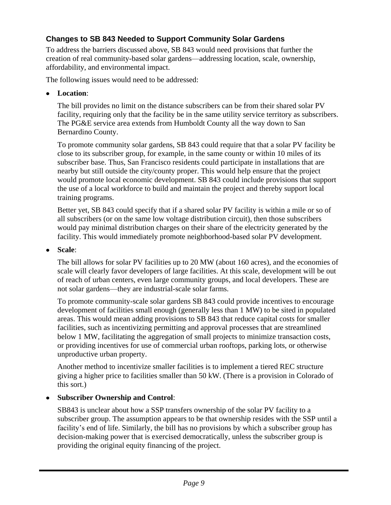## <span id="page-8-0"></span>**Changes to SB 843 Needed to Support Community Solar Gardens**

To address the barriers discussed above, SB 843 would need provisions that further the creation of real community-based solar gardens—addressing location, scale, ownership, affordability, and environmental impact.

The following issues would need to be addressed:

**Location**:

The bill provides no limit on the distance subscribers can be from their shared solar PV facility, requiring only that the facility be in the same utility service territory as subscribers. The PG&E service area extends from Humboldt County all the way down to San Bernardino County.

To promote community solar gardens, SB 843 could require that that a solar PV facility be close to its subscriber group, for example, in the same county or within 10 miles of its subscriber base. Thus, San Francisco residents could participate in installations that are nearby but still outside the city/county proper. This would help ensure that the project would promote local economic development. SB 843 could include provisions that support the use of a local workforce to build and maintain the project and thereby support local training programs.

Better yet, SB 843 could specify that if a shared solar PV facility is within a mile or so of all subscribers (or on the same low voltage distribution circuit), then those subscribers would pay minimal distribution charges on their share of the electricity generated by the facility. This would immediately promote neighborhood-based solar PV development.

**Scale**:

The bill allows for solar PV facilities up to 20 MW (about 160 acres), and the economies of scale will clearly favor developers of large facilities. At this scale, development will be out of reach of urban centers, even large community groups, and local developers. These are not solar gardens—they are industrial-scale solar farms.

To promote community-scale solar gardens SB 843 could provide incentives to encourage development of facilities small enough (generally less than 1 MW) to be sited in populated areas. This would mean adding provisions to SB 843 that reduce capital costs for smaller facilities, such as incentivizing permitting and approval processes that are streamlined below 1 MW, facilitating the aggregation of small projects to minimize transaction costs, or providing incentives for use of commercial urban rooftops, parking lots, or otherwise unproductive urban property.

Another method to incentivize smaller facilities is to implement a tiered REC structure giving a higher price to facilities smaller than 50 kW. (There is a provision in Colorado of this sort.)

#### **Subscriber Ownership and Control**:

SB843 is unclear about how a SSP transfers ownership of the solar PV facility to a subscriber group. The assumption appears to be that ownership resides with the SSP until a facility's end of life. Similarly, the bill has no provisions by which a subscriber group has decision-making power that is exercised democratically, unless the subscriber group is providing the original equity financing of the project.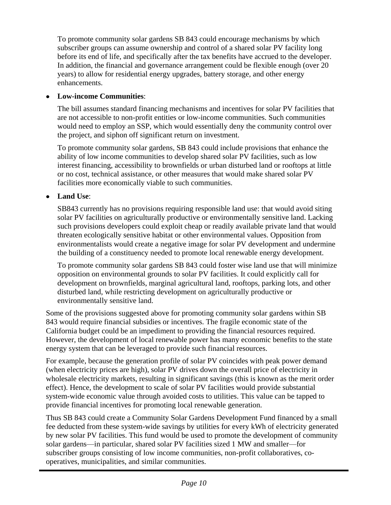To promote community solar gardens SB 843 could encourage mechanisms by which subscriber groups can assume ownership and control of a shared solar PV facility long before its end of life, and specifically after the tax benefits have accrued to the developer. In addition, the financial and governance arrangement could be flexible enough (over 20 years) to allow for residential energy upgrades, battery storage, and other energy enhancements.

### **Low-income Communities**:

The bill assumes standard financing mechanisms and incentives for solar PV facilities that are not accessible to non-profit entities or low-income communities. Such communities would need to employ an SSP, which would essentially deny the community control over the project, and siphon off significant return on investment.

To promote community solar gardens, SB 843 could include provisions that enhance the ability of low income communities to develop shared solar PV facilities, such as low interest financing, accessibility to brownfields or urban disturbed land or rooftops at little or no cost, technical assistance, or other measures that would make shared solar PV facilities more economically viable to such communities.

**Land Use**:

SB843 currently has no provisions requiring responsible land use: that would avoid siting solar PV facilities on agriculturally productive or environmentally sensitive land. Lacking such provisions developers could exploit cheap or readily available private land that would threaten ecologically sensitive habitat or other environmental values. Opposition from environmentalists would create a negative image for solar PV development and undermine the building of a constituency needed to promote local renewable energy development.

To promote community solar gardens SB 843 could foster wise land use that will minimize opposition on environmental grounds to solar PV facilities. It could explicitly call for development on brownfields, marginal agricultural land, rooftops, parking lots, and other disturbed land, while restricting development on agriculturally productive or environmentally sensitive land.

Some of the provisions suggested above for promoting community solar gardens within SB 843 would require financial subsidies or incentives. The fragile economic state of the California budget could be an impediment to providing the financial resources required. However, the development of local renewable power has many economic benefits to the state energy system that can be leveraged to provide such financial resources.

For example, because the generation profile of solar PV coincides with peak power demand (when electricity prices are high), solar PV drives down the overall price of electricity in wholesale electricity markets, resulting in significant savings (this is known as the merit order effect). Hence, the development to scale of solar PV facilities would provide substantial system-wide economic value through avoided costs to utilities. This value can be tapped to provide financial incentives for promoting local renewable generation.

Thus SB 843 could create a Community Solar Gardens Development Fund financed by a small fee deducted from these system-wide savings by utilities for every kWh of electricity generated by new solar PV facilities. This fund would be used to promote the development of community solar gardens—in particular, shared solar PV facilities sized 1 MW and smaller—for subscriber groups consisting of low income communities, non-profit collaboratives, cooperatives, municipalities, and similar communities.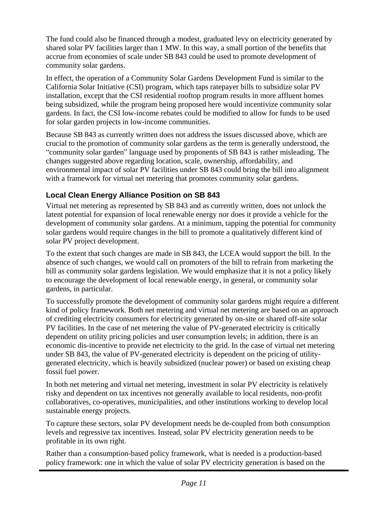The fund could also be financed through a modest, graduated levy on electricity generated by shared solar PV facilities larger than 1 MW. In this way, a small portion of the benefits that accrue from economies of scale under SB 843 could be used to promote development of community solar gardens.

In effect, the operation of a Community Solar Gardens Development Fund is similar to the California Solar Initiative (CSI) program, which taps ratepayer bills to subsidize solar PV installation, except that the CSI residential rooftop program results in more affluent homes being subsidized, while the program being proposed here would incentivize community solar gardens. In fact, the CSI low-income rebates could be modified to allow for funds to be used for solar garden projects in low-income communities.

Because SB 843 as currently written does not address the issues discussed above, which are crucial to the promotion of community solar gardens as the term is generally understood, the "community solar garden" language used by proponents of SB 843 is rather misleading. The changes suggested above regarding location, scale, ownership, affordability, and environmental impact of solar PV facilities under SB 843 could bring the bill into alignment with a framework for virtual net metering that promotes community solar gardens.

## <span id="page-10-0"></span>**Local Clean Energy Alliance Position on SB 843**

Virtual net metering as represented by SB 843 and as currently written, does not unlock the latent potential for expansion of local renewable energy nor does it provide a vehicle for the development of community solar gardens. At a minimum, tapping the potential for community solar gardens would require changes in the bill to promote a qualitatively different kind of solar PV project development.

To the extent that such changes are made in SB 843, the LCEA would support the bill. In the absence of such changes, we would call on promoters of the bill to refrain from marketing the bill as community solar gardens legislation. We would emphasize that it is not a policy likely to encourage the development of local renewable energy, in general, or community solar gardens, in particular.

To successfully promote the development of community solar gardens might require a different kind of policy framework. Both net metering and virtual net metering are based on an approach of crediting electricity consumers for electricity generated by on-site or shared off-site solar PV facilities. In the case of net metering the value of PV-generated electricity is critically dependent on utility pricing policies and user consumption levels; in addition, there is an economic dis-incentive to provide net electricity to the grid. In the case of virtual net metering under SB 843, the value of PV-generated electricity is dependent on the pricing of utilitygenerated electricity, which is heavily subsidized (nuclear power) or based on existing cheap fossil fuel power.

In both net metering and virtual net metering, investment in solar PV electricity is relatively risky and dependent on tax incentives not generally available to local residents, non-profit collaboratives, co-operatives, municipalities, and other institutions working to develop local sustainable energy projects.

To capture these sectors, solar PV development needs be de-coupled from both consumption levels and regressive tax incentives. Instead, solar PV electricity generation needs to be profitable in its own right.

Rather than a consumption-based policy framework, what is needed is a production-based policy framework: one in which the value of solar PV electricity generation is based on the